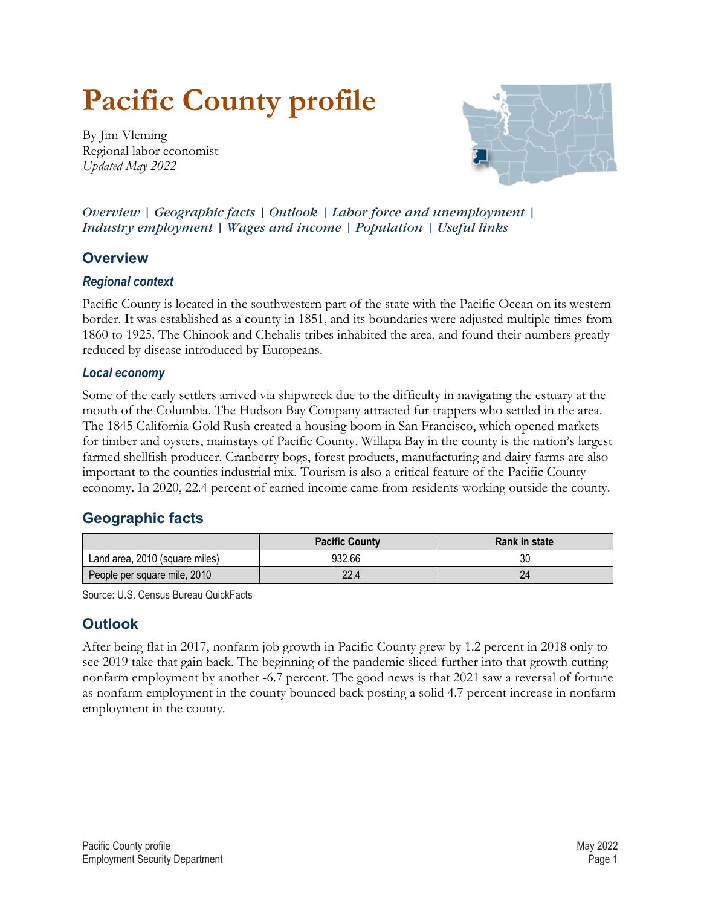# **Pacific County profile**

<span id="page-0-2"></span>By Jim Vleming Regional labor economist *Updated May 2022*



*Overview | [Geographic facts](#page-0-0) | [Outlook](#page-0-1) | [Labor force and unemployment](#page-1-0) | [Industry employment](#page-1-1) | [Wages and income](#page-2-0) | [Population](#page-2-1) | [Useful links](#page-3-0)*

### **Overview**

#### *Regional context*

Pacific County is located in the southwestern part of the state with the Pacific Ocean on its western border. It was established as a county in 1851, and its boundaries were adjusted multiple times from 1860 to 1925. The Chinook and Chehalis tribes inhabited the area, and found their numbers greatly reduced by disease introduced by Europeans.

#### *Local economy*

Some of the early settlers arrived via shipwreck due to the difficulty in navigating the estuary at the mouth of the Columbia. The Hudson Bay Company attracted fur trappers who settled in the area. The 1845 California Gold Rush created a housing boom in San Francisco, which opened markets for timber and oysters, mainstays of Pacific County. Willapa Bay in the county is the nation's largest farmed shellfish producer. Cranberry bogs, forest products, manufacturing and dairy farms are also important to the counties industrial mix. Tourism is also a critical feature of the Pacific County economy. In 2020, 22.4 percent of earned income came from residents working outside the county.

# <span id="page-0-0"></span>**[Geographic facts](#page-0-2)**

|                                | <b>Pacific County</b> | <b>Rank in state</b> |
|--------------------------------|-----------------------|----------------------|
| Land area, 2010 (square miles) | 932.66                | 30                   |
| People per square mile, 2010   | 22.4                  | 24                   |

Source: U.S. Census Bureau QuickFacts

# <span id="page-0-1"></span>**[Outlook](#page-0-2)**

After being flat in 2017, nonfarm job growth in Pacific County grew by 1.2 percent in 2018 only to see 2019 take that gain back. The beginning of the pandemic sliced further into that growth cutting nonfarm employment by another -6.7 percent. The good news is that 2021 saw a reversal of fortune as nonfarm employment in the county bounced back posting a solid 4.7 percent increase in nonfarm employment in the county.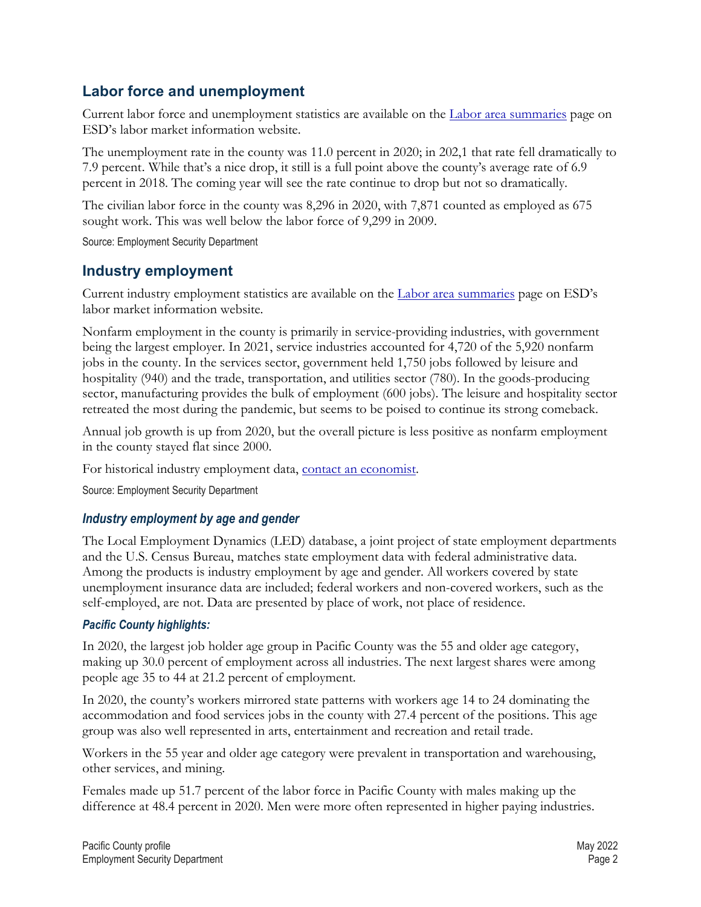# <span id="page-1-0"></span>**[Labor force and unemployment](#page-0-2)**

Current labor force and unemployment statistics are available on the [Labor area summaries](https://esd.wa.gov/labormarketinfo/labor-area-summaries) page on ESD's labor market information website.

The unemployment rate in the county was 11.0 percent in 2020; in 202,1 that rate fell dramatically to 7.9 percent. While that's a nice drop, it still is a full point above the county's average rate of 6.9 percent in 2018. The coming year will see the rate continue to drop but not so dramatically.

The civilian labor force in the county was 8,296 in 2020, with 7,871 counted as employed as 675 sought work. This was well below the labor force of 9,299 in 2009.

Source: Employment Security Department

## <span id="page-1-1"></span>**[Industry employment](#page-0-2)**

Current industry employment statistics are available on the [Labor area summaries](https://esd.wa.gov/labormarketinfo/labor-area-summaries) page on ESD's labor market information website.

Nonfarm employment in the county is primarily in service-providing industries, with government being the largest employer. In 2021, service industries accounted for 4,720 of the 5,920 nonfarm jobs in the county. In the services sector, government held 1,750 jobs followed by leisure and hospitality (940) and the trade, transportation, and utilities sector (780). In the goods-producing sector, manufacturing provides the bulk of employment (600 jobs). The leisure and hospitality sector retreated the most during the pandemic, but seems to be poised to continue its strong comeback.

Annual job growth is up from 2020, but the overall picture is less positive as nonfarm employment in the county stayed flat since 2000.

For historical industry employment data, [contact an economist.](mailto:Jvleming@esd.wa.gov)

Source: Employment Security Department

#### *Industry employment by age and gender*

The Local Employment Dynamics (LED) database, a joint project of state employment departments and the U.S. Census Bureau, matches state employment data with federal administrative data. Among the products is industry employment by age and gender. All workers covered by state unemployment insurance data are included; federal workers and non-covered workers, such as the self-employed, are not. Data are presented by place of work, not place of residence.

#### *Pacific County highlights:*

In 2020, the largest job holder age group in Pacific County was the 55 and older age category, making up 30.0 percent of employment across all industries. The next largest shares were among people age 35 to 44 at 21.2 percent of employment.

In 2020, the county's workers mirrored state patterns with workers age 14 to 24 dominating the accommodation and food services jobs in the county with 27.4 percent of the positions. This age group was also well represented in arts, entertainment and recreation and retail trade.

Workers in the 55 year and older age category were prevalent in transportation and warehousing, other services, and mining.

Females made up 51.7 percent of the labor force in Pacific County with males making up the difference at 48.4 percent in 2020. Men were more often represented in higher paying industries.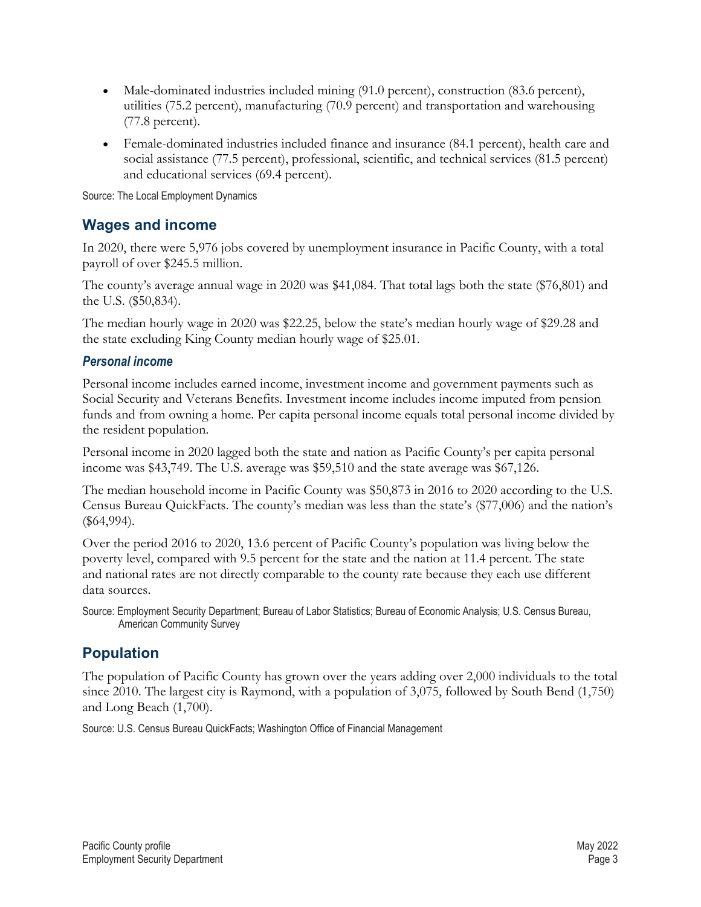- Male-dominated industries included mining (91.0 percent), construction (83.6 percent), utilities (75.2 percent), manufacturing (70.9 percent) and transportation and warehousing (77.8 percent).
- Female-dominated industries included finance and insurance (84.1 percent), health care and social assistance (77.5 percent), professional, scientific, and technical services (81.5 percent) and educational services (69.4 percent).

Source: The Local Employment Dynamics

# <span id="page-2-0"></span>**[Wages and income](#page-0-2)**

In 2020, there were 5,976 jobs covered by unemployment insurance in Pacific County, with a total payroll of over \$245.5 million.

The county's average annual wage in 2020 was \$41,084. That total lags both the state (\$76,801) and the U.S. (\$50,834).

The median hourly wage in 2020 was \$22.25, below the state's median hourly wage of \$29.28 and the state excluding King County median hourly wage of \$25.01.

#### *Personal income*

Personal income includes earned income, investment income and government payments such as Social Security and Veterans Benefits. Investment income includes income imputed from pension funds and from owning a home. Per capita personal income equals total personal income divided by the resident population.

Personal income in 2020 lagged both the state and nation as Pacific County's per capita personal income was \$43,749. The U.S. average was \$59,510 and the state average was \$67,126.

The median household income in Pacific County was \$50,873 in 2016 to 2020 according to the U.S. Census Bureau QuickFacts. The county's median was less than the state's (\$77,006) and the nation's (\$64,994).

Over the period 2016 to 2020, 13.6 percent of Pacific County's population was living below the poverty level, compared with 9.5 percent for the state and the nation at 11.4 percent. The state and national rates are not directly comparable to the county rate because they each use different data sources.

Source: Employment Security Department; Bureau of Labor Statistics; Bureau of Economic Analysis; U.S. Census Bureau, American Community Survey

# <span id="page-2-1"></span>**[Population](#page-0-2)**

The population of Pacific County has grown over the years adding over 2,000 individuals to the total since 2010. The largest city is Raymond, with a population of 3,075, followed by South Bend (1,750) and Long Beach (1,700).

Source: U.S. Census Bureau QuickFacts; Washington Office of Financial Management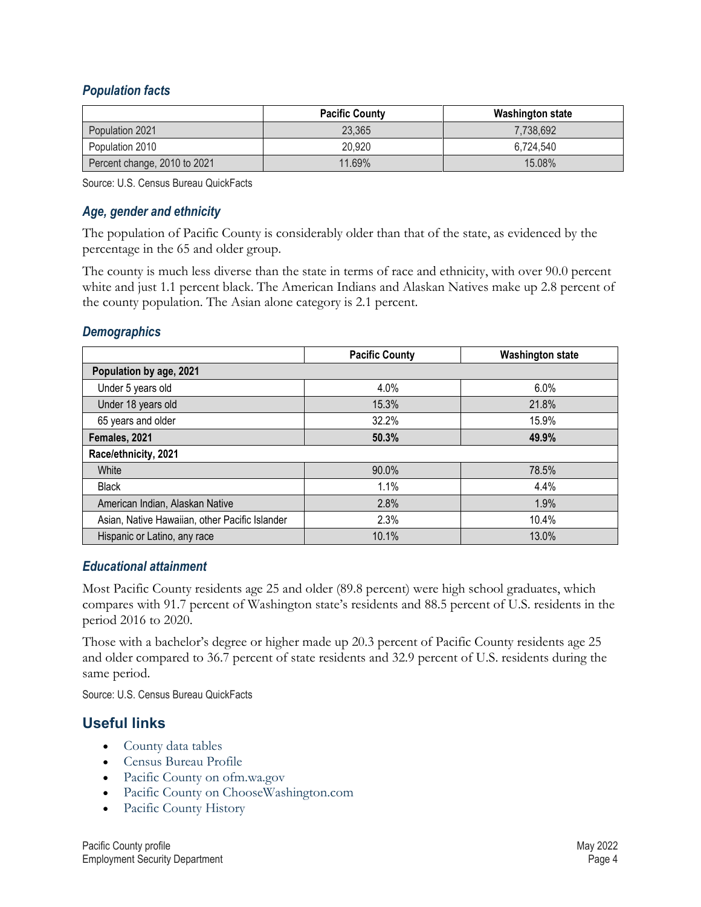#### *Population facts*

|                              | <b>Pacific County</b> | <b>Washington state</b> |
|------------------------------|-----------------------|-------------------------|
| Population 2021              | 23,365                | 7,738,692               |
| Population 2010              | 20,920                | 6.724.540               |
| Percent change, 2010 to 2021 | 11.69%                | 15.08%                  |

Source: U.S. Census Bureau QuickFacts

#### *Age, gender and ethnicity*

The population of Pacific County is considerably older than that of the state, as evidenced by the percentage in the 65 and older group.

The county is much less diverse than the state in terms of race and ethnicity, with over 90.0 percent white and just 1.1 percent black. The American Indians and Alaskan Natives make up 2.8 percent of the county population. The Asian alone category is 2.1 percent.

#### *Demographics*

|                                                | <b>Pacific County</b> | <b>Washington state</b> |  |  |
|------------------------------------------------|-----------------------|-------------------------|--|--|
| Population by age, 2021                        |                       |                         |  |  |
| Under 5 years old                              | 4.0%                  | 6.0%                    |  |  |
| Under 18 years old                             | 15.3%                 | 21.8%                   |  |  |
| 65 years and older                             | 32.2%                 | 15.9%                   |  |  |
| Females, 2021                                  | 50.3%                 | 49.9%                   |  |  |
| Race/ethnicity, 2021                           |                       |                         |  |  |
| White                                          | 90.0%                 | 78.5%                   |  |  |
| <b>Black</b>                                   | 1.1%                  | 4.4%                    |  |  |
| American Indian, Alaskan Native                | 2.8%                  | 1.9%                    |  |  |
| Asian, Native Hawaiian, other Pacific Islander | 2.3%                  | 10.4%                   |  |  |
| Hispanic or Latino, any race                   | 10.1%                 | 13.0%                   |  |  |

#### *Educational attainment*

Most Pacific County residents age 25 and older (89.8 percent) were high school graduates, which compares with 91.7 percent of Washington state's residents and 88.5 percent of U.S. residents in the period 2016 to 2020.

Those with a bachelor's degree or higher made up 20.3 percent of Pacific County residents age 25 and older compared to 36.7 percent of state residents and 32.9 percent of U.S. residents during the same period.

Source: U.S. Census Bureau QuickFacts

# <span id="page-3-0"></span>**[Useful links](#page-0-2)**

- [County data tables](https://esdorchardstorage.blob.core.windows.net/esdwa/Default/ESDWAGOV/labor-market-info/Libraries/Regional-reports/County-Data-Tables/Pacific%20County%20data%20tables.xlsx)
- [Census Bureau Profile](https://data.census.gov/cedsci/profile?q=Pacific%20County,%20Washington&g=0500000US53049)
- [Pacific County on ofm.wa.gov](https://ofm.wa.gov/washington-data-research/county-and-city-data/pacific-county)
- [Pacific County on ChooseWashington.com](http://choosewashingtonstate.com/why-washington/our-region/)
- [Pacific County History](http://www.historylink.org/File/7914/)